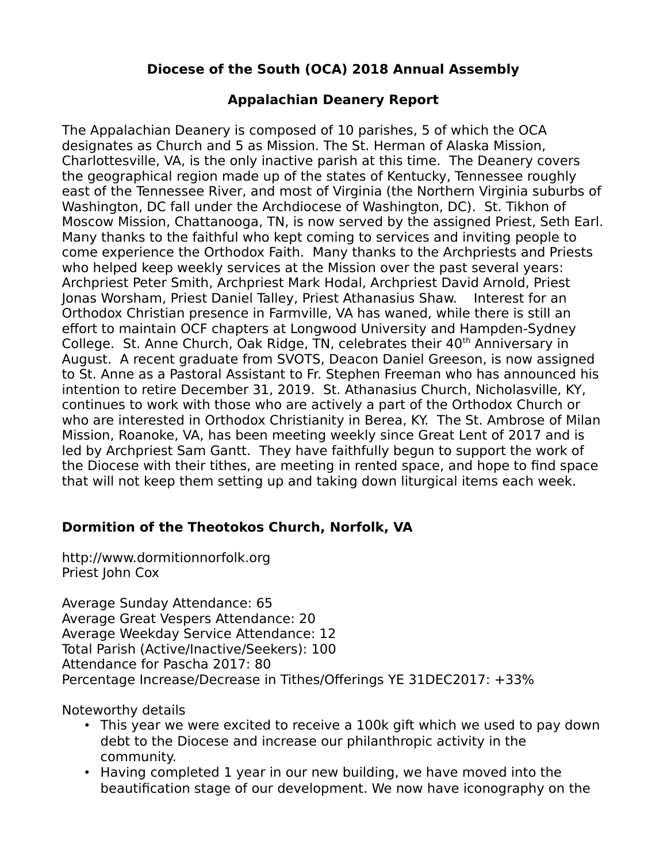# **Diocese of the South (OCA) 2018 Annual Assembly**

## **Appalachian Deanery Report**

The Appalachian Deanery is composed of 10 parishes, 5 of which the OCA designates as Church and 5 as Mission. The St. Herman of Alaska Mission, Charlottesville, VA, is the only inactive parish at this time. The Deanery covers the geographical region made up of the states of Kentucky, Tennessee roughly east of the Tennessee River, and most of Virginia (the Northern Virginia suburbs of Washington, DC fall under the Archdiocese of Washington, DC). St. Tikhon of Moscow Mission, Chattanooga, TN, is now served by the assigned Priest, Seth Earl. Many thanks to the faithful who kept coming to services and inviting people to come experience the Orthodox Faith. Many thanks to the Archpriests and Priests who helped keep weekly services at the Mission over the past several years: Archpriest Peter Smith, Archpriest Mark Hodal, Archpriest David Arnold, Priest Jonas Worsham, Priest Daniel Talley, Priest Athanasius Shaw. Interest for an Orthodox Christian presence in Farmville, VA has waned, while there is still an effort to maintain OCF chapters at Longwood University and Hampden-Sydney College. St. Anne Church, Oak Ridge, TN, celebrates their 40<sup>th</sup> Anniversary in August. A recent graduate from SVOTS, Deacon Daniel Greeson, is now assigned to St. Anne as a Pastoral Assistant to Fr. Stephen Freeman who has announced his intention to retire December 31, 2019. St. Athanasius Church, Nicholasville, KY, continues to work with those who are actively a part of the Orthodox Church or who are interested in Orthodox Christianity in Berea, KY. The St. Ambrose of Milan Mission, Roanoke, VA, has been meeting weekly since Great Lent of 2017 and is led by Archpriest Sam Gantt. They have faithfully begun to support the work of the Diocese with their tithes, are meeting in rented space, and hope to find space that will not keep them setting up and taking down liturgical items each week.

## **Dormition of the Theotokos Church, Norfolk, VA**

http://www.dormitionnorfolk.org Priest John Cox

Average Sunday Attendance: 65 Average Great Vespers Attendance: 20 Average Weekday Service Attendance: 12 Total Parish (Active/Inactive/Seekers): 100 Attendance for Pascha 2017: 80 Percentage Increase/Decrease in Tithes/Offerings YE 31DEC2017: +33%

Noteworthy details

- This year we were excited to receive a 100k gift which we used to pay down debt to the Diocese and increase our philanthropic activity in the community.
- Having completed 1 year in our new building, we have moved into the beautification stage of our development. We now have iconography on the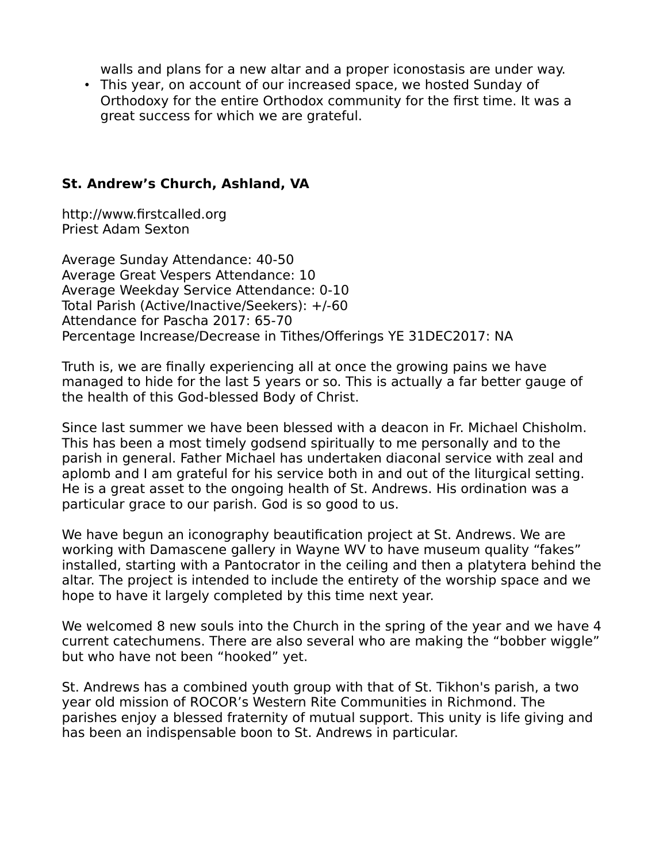walls and plans for a new altar and a proper iconostasis are under way.

• This year, on account of our increased space, we hosted Sunday of Orthodoxy for the entire Orthodox community for the first time. It was a great success for which we are grateful.

#### **St. Andrew's Church, Ashland, VA**

http://www.firstcalled.org Priest Adam Sexton

Average Sunday Attendance: 40-50 Average Great Vespers Attendance: 10 Average Weekday Service Attendance: 0-10 Total Parish (Active/Inactive/Seekers): +/-60 Attendance for Pascha 2017: 65-70 Percentage Increase/Decrease in Tithes/Offerings YE 31DEC2017: NA

Truth is, we are finally experiencing all at once the growing pains we have managed to hide for the last 5 years or so. This is actually a far better gauge of the health of this God-blessed Body of Christ.

Since last summer we have been blessed with a deacon in Fr. Michael Chisholm. This has been a most timely godsend spiritually to me personally and to the parish in general. Father Michael has undertaken diaconal service with zeal and aplomb and I am grateful for his service both in and out of the liturgical setting. He is a great asset to the ongoing health of St. Andrews. His ordination was a particular grace to our parish. God is so good to us.

We have begun an iconography beautification project at St. Andrews. We are working with Damascene gallery in Wayne WV to have museum quality "fakes" installed, starting with a Pantocrator in the ceiling and then a platytera behind the altar. The project is intended to include the entirety of the worship space and we hope to have it largely completed by this time next year.

We welcomed 8 new souls into the Church in the spring of the year and we have 4 current catechumens. There are also several who are making the "bobber wiggle" but who have not been "hooked" yet.

St. Andrews has a combined youth group with that of St. Tikhon's parish, a two year old mission of ROCOR's Western Rite Communities in Richmond. The parishes enjoy a blessed fraternity of mutual support. This unity is life giving and has been an indispensable boon to St. Andrews in particular.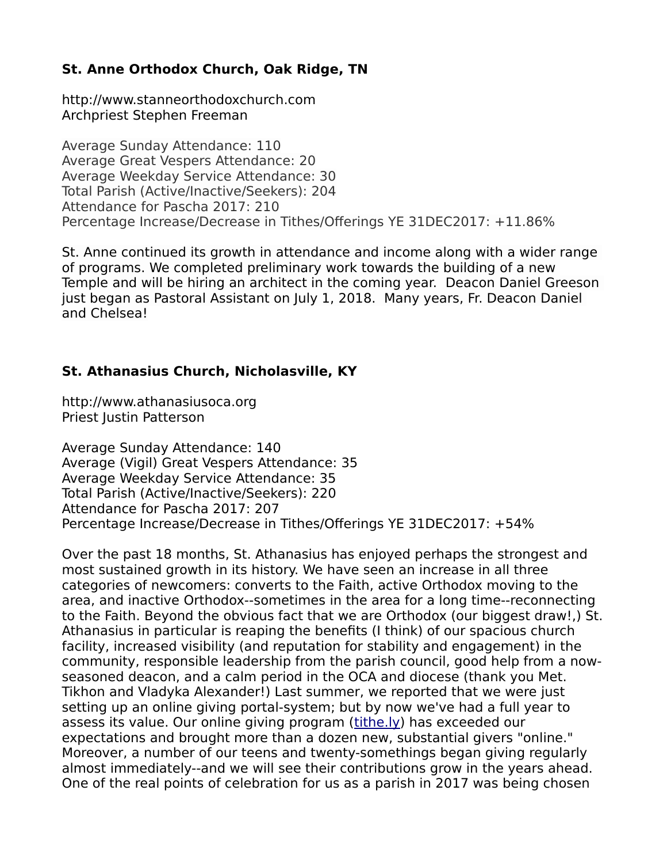# **St. Anne Orthodox Church, Oak Ridge, TN**

http://www.stanneorthodoxchurch.com Archpriest Stephen Freeman

Average Sunday Attendance: 110 Average Great Vespers Attendance: 20 Average Weekday Service Attendance: 30 Total Parish (Active/Inactive/Seekers): 204 Attendance for Pascha 2017: 210 Percentage Increase/Decrease in Tithes/Offerings YE 31DEC2017: +11.86%

St. Anne continued its growth in attendance and income along with a wider range of programs. We completed preliminary work towards the building of a new Temple and will be hiring an architect in the coming year. Deacon Daniel Greeson just began as Pastoral Assistant on July 1, 2018. Many years, Fr. Deacon Daniel and Chelsea!

## **St. Athanasius Church, Nicholasville, KY**

http://www.athanasiusoca.org Priest Justin Patterson

Average Sunday Attendance: 140 Average (Vigil) Great Vespers Attendance: 35 Average Weekday Service Attendance: 35 Total Parish (Active/Inactive/Seekers): 220 Attendance for Pascha 2017: 207 Percentage Increase/Decrease in Tithes/Offerings YE 31DEC2017: +54%

Over the past 18 months, St. Athanasius has enjoyed perhaps the strongest and most sustained growth in its history. We have seen an increase in all three categories of newcomers: converts to the Faith, active Orthodox moving to the area, and inactive Orthodox--sometimes in the area for a long time--reconnecting to the Faith. Beyond the obvious fact that we are Orthodox (our biggest draw!,) St. Athanasius in particular is reaping the benefits (I think) of our spacious church facility, increased visibility (and reputation for stability and engagement) in the community, responsible leadership from the parish council, good help from a nowseasoned deacon, and a calm period in the OCA and diocese (thank you Met. Tikhon and Vladyka Alexander!) Last summer, we reported that we were just setting up an online giving portal-system; but by now we've had a full year to assess its value. Our online giving program [\(tithe.ly\)](http://tithe.ly/) has exceeded our expectations and brought more than a dozen new, substantial givers "online." Moreover, a number of our teens and twenty-somethings began giving regularly almost immediately--and we will see their contributions grow in the years ahead. One of the real points of celebration for us as a parish in 2017 was being chosen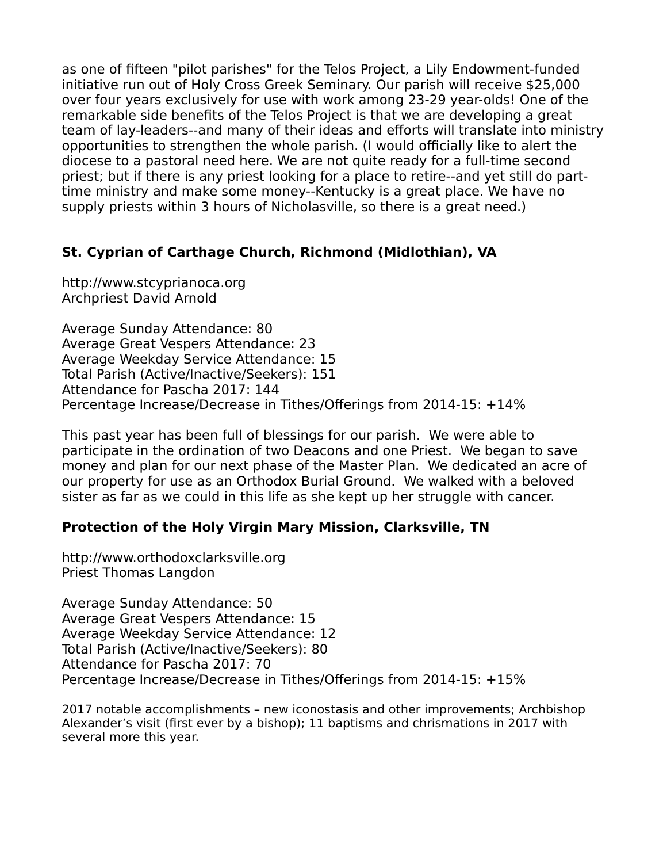as one of fifteen "pilot parishes" for the Telos Project, a Lily Endowment-funded initiative run out of Holy Cross Greek Seminary. Our parish will receive \$25,000 over four years exclusively for use with work among 23-29 year-olds! One of the remarkable side benefits of the Telos Project is that we are developing a great team of lay-leaders--and many of their ideas and efforts will translate into ministry opportunities to strengthen the whole parish. (I would officially like to alert the diocese to a pastoral need here. We are not quite ready for a full-time second priest; but if there is any priest looking for a place to retire--and yet still do parttime ministry and make some money--Kentucky is a great place. We have no supply priests within 3 hours of Nicholasville, so there is a great need.)

## **St. Cyprian of Carthage Church, Richmond (Midlothian), VA**

http://www.stcyprianoca.org Archpriest David Arnold

Average Sunday Attendance: 80 Average Great Vespers Attendance: 23 Average Weekday Service Attendance: 15 Total Parish (Active/Inactive/Seekers): 151 Attendance for Pascha 2017: 144 Percentage Increase/Decrease in Tithes/Offerings from 2014-15: +14%

This past year has been full of blessings for our parish. We were able to participate in the ordination of two Deacons and one Priest. We began to save money and plan for our next phase of the Master Plan. We dedicated an acre of our property for use as an Orthodox Burial Ground. We walked with a beloved sister as far as we could in this life as she kept up her struggle with cancer.

#### **Protection of the Holy Virgin Mary Mission, Clarksville, TN**

http://www.orthodoxclarksville.org Priest Thomas Langdon

Average Sunday Attendance: 50 Average Great Vespers Attendance: 15 Average Weekday Service Attendance: 12 Total Parish (Active/Inactive/Seekers): 80 Attendance for Pascha 2017: 70 Percentage Increase/Decrease in Tithes/Offerings from 2014-15: +15%

2017 notable accomplishments – new iconostasis and other improvements; Archbishop Alexander's visit (first ever by a bishop); 11 baptisms and chrismations in 2017 with several more this year.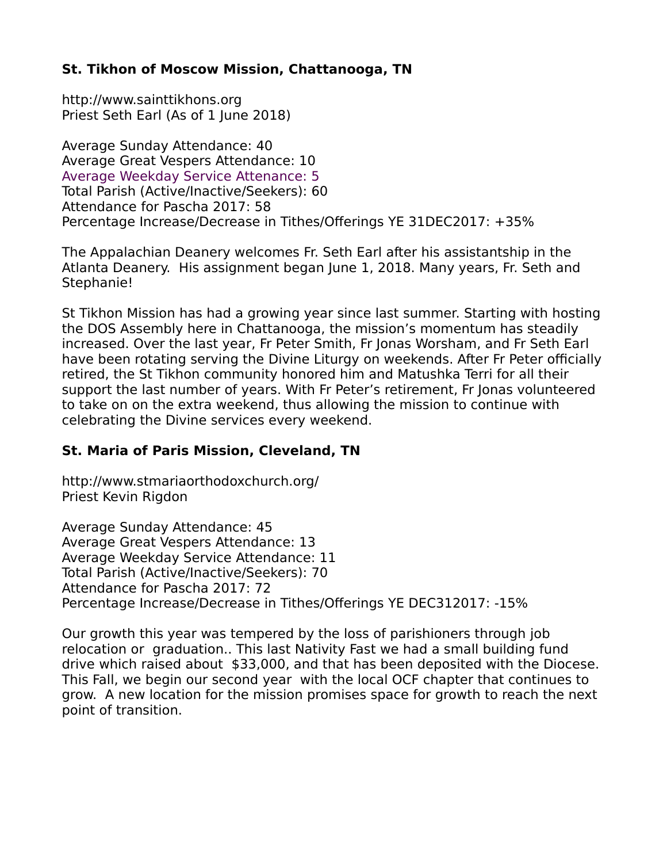## **St. Tikhon of Moscow Mission, Chattanooga, TN**

http://www.sainttikhons.org Priest Seth Earl (As of 1 June 2018)

Average Sunday Attendance: 40 Average Great Vespers Attendance: 10 Average Weekday Service Attenance: 5 Total Parish (Active/Inactive/Seekers): 60 Attendance for Pascha 2017: 58 Percentage Increase/Decrease in Tithes/Offerings YE 31DEC2017: +35%

The Appalachian Deanery welcomes Fr. Seth Earl after his assistantship in the Atlanta Deanery. His assignment began June 1, 2018. Many years, Fr. Seth and Stephanie!

St Tikhon Mission has had a growing year since last summer. Starting with hosting the DOS Assembly here in Chattanooga, the mission's momentum has steadily increased. Over the last year, Fr Peter Smith, Fr Jonas Worsham, and Fr Seth Earl have been rotating serving the Divine Liturgy on weekends. After Fr Peter officially retired, the St Tikhon community honored him and Matushka Terri for all their support the last number of years. With Fr Peter's retirement, Fr Jonas volunteered to take on on the extra weekend, thus allowing the mission to continue with celebrating the Divine services every weekend.

## **St. Maria of Paris Mission, Cleveland, TN**

http://www.stmariaorthodoxchurch.org/ Priest Kevin Rigdon

Average Sunday Attendance: 45 Average Great Vespers Attendance: 13 Average Weekday Service Attendance: 11 Total Parish (Active/Inactive/Seekers): 70 Attendance for Pascha 2017: 72 Percentage Increase/Decrease in Tithes/Offerings YE DEC312017: -15%

Our growth this year was tempered by the loss of parishioners through job relocation or graduation.. This last Nativity Fast we had a small building fund drive which raised about \$33,000, and that has been deposited with the Diocese. This Fall, we begin our second year with the local OCF chapter that continues to grow. A new location for the mission promises space for growth to reach the next point of transition.